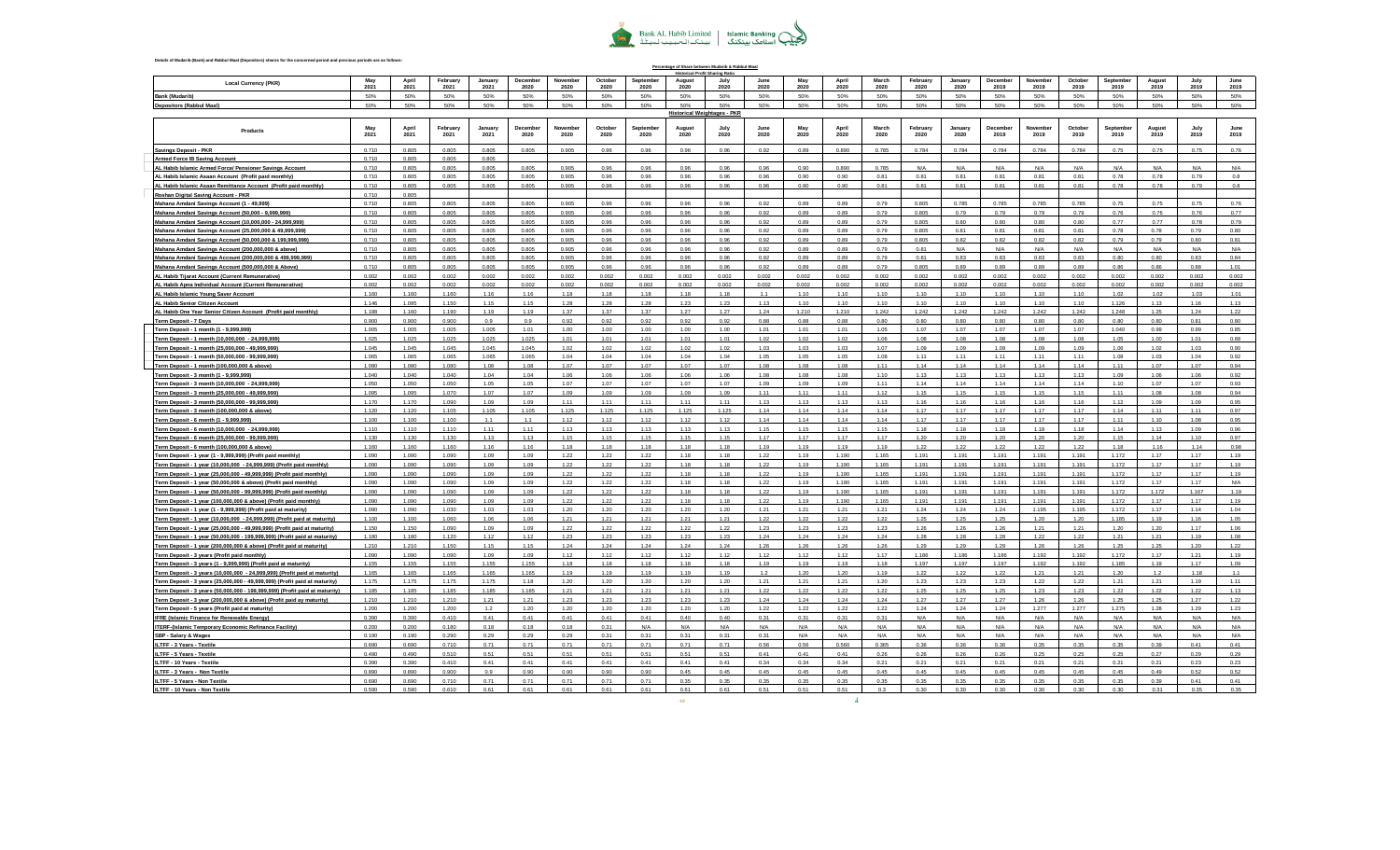

| Details of Mudarib (Bank) and Rabbul Maal (Depositors) shares for the concerned period and previous periods are as follows:                         |                |                |                  |                 |                  |                  |                 |                   |                | Percentage of Share between Mudarib & Rabbul-Maal      |                 |              |                |                |                  |                 |                  |                  |                 |                   |                |              |              |
|-----------------------------------------------------------------------------------------------------------------------------------------------------|----------------|----------------|------------------|-----------------|------------------|------------------|-----------------|-------------------|----------------|--------------------------------------------------------|-----------------|--------------|----------------|----------------|------------------|-----------------|------------------|------------------|-----------------|-------------------|----------------|--------------|--------------|
| <b>Local Currency (PKR)</b>                                                                                                                         | May<br>2021    | April<br>2021  | February<br>2021 | January<br>2021 | December<br>2020 | November<br>2020 | October<br>2020 | Sentember<br>2020 | August<br>2020 | <b>Historical Profit Sharing Ratio</b><br>July<br>2020 | June<br>2020    | May<br>2020  | April<br>2020  | March<br>2020  | February<br>2020 | January<br>2020 | December<br>2019 | November<br>2019 | October<br>2019 | Sentember<br>2019 | August<br>2019 | July<br>2019 | June<br>2019 |
| <b>Bank (Mudarib)</b>                                                                                                                               | 50%            | 50%            | 50%              | 50%             | 50%              | 50%              | 50%             | 50%               | 50%            | 50%                                                    | 50%             | 50%          | 50%            | 50%            | 50%              | 50%             | 50%              | 50%              | 50%             | 50%               | 50%            | 50%          | 50%          |
| <b>Depositors (Rabbul Maal)</b>                                                                                                                     | 50%            | 50%            | 50%              | 50%             | 50%              | 50%              | 50%             | 50%               | 50%            | 50%                                                    | 50%             | 50%          | 50%            | 50%            | 50%              | 50%             | 50%              | 50%              | 50%             | 50%               | 50%            | 50%          | 50%          |
|                                                                                                                                                     |                |                |                  |                 |                  |                  |                 |                   |                | <b>Historical Weightages - PKR</b>                     |                 |              |                |                |                  |                 |                  |                  |                 |                   |                |              |              |
| Products                                                                                                                                            | 2021           | 2021           | February<br>2021 | January<br>2021 | Decembe<br>2020  | Novembe<br>2020  | October<br>2020 | Septembe<br>2020  | August<br>2020 | Julv<br>2020                                           | 2020            | 2020         | April<br>2020  | March<br>2020  | February<br>2020 | January<br>2020 | Decembe<br>2019  | Novembe<br>2019  | October<br>2019 | Septembe<br>2019  | August<br>2019 | 2019         | 2019         |
| <b>Savings Deposit - PKR</b>                                                                                                                        | 0.710          | 0.805          | 0.805            | 0.805           | 0.805            | 0.905            | 0.96            | 0.96              | 0.96           | 0.96                                                   | 0.92            | 0.89         | 0.890          | 0.785          | 0.784            | 0.784           | 0.784            | 0.784            | 0.784           | 0.75              | 0.75           | 0.75         | 0.76         |
| <b>Armed Force IB Saving Account</b>                                                                                                                | 0.710          | 0.805          | 0.805            | 0.805           |                  |                  |                 |                   |                |                                                        |                 |              |                |                |                  |                 |                  |                  |                 |                   |                |              |              |
| AL Habib Islamic Armed Force/ Pensioner Savings Account                                                                                             | 0.710          | 0.805          | 0.805            | 0.805           | 0.805            | 0.905            | 0.96            | 0.96              | 0.96           | 0.96                                                   | 0.96            | 0.90         | 0.890          | 0.785          | N/A              | N/A             | N/A              | N/A              | N/A             | N/A               | N/A            | N/A          | N/A          |
| AL Habib Islamic Asaan Account (Profit paid monthly)                                                                                                | 0.710          | 0.805          | 0.805            | 0.805           | 0.805            | 0.905            | 0.96            | 0.96              | 0.96           | 0.96                                                   | 0.96            | 0.90         | 0.90           | 0.81           | 0.81             | 0.81            | 0.81             | 0.81             | 0.81            | 0.78              | 0.78           | 0.79         | 0.8          |
| AL Habib Islamic Asaan Remittance Account (Profit paid monthly)                                                                                     | 0.710          | 0.805          | 0.805            | 0.805           | 0.805            | 0.905            | 0.96            | 0.96              | 0.96           | 0.96                                                   | 0.96            | 0.90         | 0.90           | 0.81           | 0.81             | 0.81            | 0.81             | 0.81             | 0.81            | 0.78              | 0.78           | 0.79         | 0.8          |
| Roshan Digital Saving Account - PKR<br>Mahana Amdani Savings Account (1 - 49,999)                                                                   | 0.710<br>0.710 | 0.805<br>0.805 | 0.805            | 0.805           | 0.805            | 0.905            | 0.96            | 0.96              | 0.96           | 0.96                                                   | 0.92            | 0.89         | 0.89           | 0.79           | 0.805            | 0.785           | 0.785            | 0.785            | 0.785           | 0.75              | 0.75           | 0.75         | 0.76         |
| Mahana Amdani Savings Account (50,000 - 9,999,999)                                                                                                  | 0.710          | 0.805          | 0.805            | 0.805           | 0.805            | 0.905            | 0.96            | 0.96              | 0.96           | 0.96                                                   | 0.92            | 0.89         | 0.89           | 0.79           | 0.805            | 0.79            | 0.79             | 0.79             | 0.79            | 0.76              | 0.76           | 0.76         | 0.77         |
| Mahana Amdani Savings Account (10,000,000 - 24,999,999)                                                                                             | 0.710          | 0.805          | 0.805            | 0.805           | 0.805            | 0.905            | 0.96            | 0.96              | 0.96           | 0.96                                                   | 0.92            | 0.89         | 0.89           | 0.79           | 0.805            | 0.80            | 0.80             | 0.80             | 0.80            | 0.77              | 0.77           | 0.78         | 0.79         |
| Mahana Amdani Savings Account (25,000,000 & 49,999,999)                                                                                             | 0.710          | 0.805          | 0.805            | 0.805           | 0.805            | 0.905            | 0.96            | 0.96              | 0.96           | 0.96                                                   | 0.92            | 0.89         | 0.89           | 0.79           | 0.805            | 0.81            | 0.81             | 0.81             | 0.81            | 0.78              | 0.78           | 0.79         | 0.80         |
| Mahana Amdani Savings Account (50,000,000 & 199,999,999)                                                                                            | 0.710          | 0.805          | 0.805            | 0.805           | 0.805            | 0.905            | 0.96            | 0.96              | 0.96           | 0.96                                                   | 0.92            | 0.89         | 0.89           | 0.79           | 0.805            | 0.82            | 0.82             | 0.82             | 0.82            | 0.79              | 0.79           | 0.80         | 0.81         |
| Mahana Amdani Savings Account (200,000,000 & above)                                                                                                 | 0.710          | 0.805          | 0.805            | 0.805           | 0.805            | 0.905            | 0.96            | 0.96              | 0.96           | 0.96                                                   | 0.92            | 0.89         | 0.89           | 0.79           | 0.81             | N/A             | N/A              | N/A              | N/f             | N/A               | N/A            | N/A          | N/A          |
| Mahana Amdani Savings Account (200,000,000 & 499,999,999)                                                                                           | 0.710<br>0.710 | 0.805<br>0.805 | 0.805<br>0.805   | 0.805<br>0.805  | 0.805<br>0.805   | 0.905<br>0.905   | 0.96<br>0.96    | 0.96<br>0.96      | 0.96<br>0.96   | 0.96<br>0.96                                           | 0.92<br>0.92    | 0.89<br>0.89 | 0.89<br>0.89   | 0.79<br>0.79   | 0.81<br>0.805    | 0.83<br>0.89    | 0.83<br>0.89     | 0.83<br>0.89     | 0.83<br>0.89    | 0.80<br>0.86      | 0.80<br>0.86   | 0.83<br>0.88 | 0.84<br>1.01 |
| Mahana Amdani Savings Account (500,000,000 & Above)<br>AL Habib Tijarat Account (Current Remunerative)                                              | 0.002          | 0.002          | 0.002            | 0.002           | 0.002            | 0.002            | 0.002           | 0.002             | 0.002          | 0.002                                                  | 0.002           | 0.002        | 0.002          | 0.002          | 0.002            | 0.002           | 0.002            | 0.002            | 0.002           | 0.002             | 0.002          | 0.002        | 0.002        |
| AL Habib Apna Individual Account (Current Remunerative)                                                                                             | 0.002          | 0.002          | 0.002            | 0.002           | 0.002            | 0.002            | 0.002           | 0.002             | 0.002          | 0.002                                                  | 0.002           | 0.002        | 0.002          | 0.002          | 0.002            | 0.002           | 0.002            | 0.002            | 0.002           | 0.002             | 0.002          | 0.002        | 0.002        |
| AL Habib Islamic Young Saver Account                                                                                                                | 1.160          | 1.160          | 1.160            | 1.16            | 1.16             | 1.18             | 1.18            | 1.18              | 1.18           | 1.18                                                   | 11              | 1.10         | 1.10           | 1.10           | 1.10             | 1.10            | 1.10             | 1.10             | 1.10            | 1.02              | 1.02           | 1.03         | 1.01         |
| AL Habib Senior Citizen Account                                                                                                                     | 1.146          | 1.095          | 1.150            | 1.15            | 1.15             | 1.28             | 1.28            | 1.28              | 1.23           | 1.23                                                   | 1.13            | 1.10         | 1.10           | 110            | 1.10             | 1.10            | 1.10             | 1.10             | 1.10            | 1.126             | 1.13           | 1.16         | 1.13         |
| AL Habib One Year Senior Citizen Account (Profit paid monthly)                                                                                      | 1.188          | 1.160          | 1.190            | 1.19            | 1.19             | 1.37             | 1.37            | 1.37              | 1.27           | 1.27                                                   | 1.24            | 1.210        | 1.210          | 1.242          | 1.242            | 1.242           | 1.242            | 1.242            | 1.242           | 1.248             | 1.25           | 1.24         | 1.22         |
| <b>Term Deposit - 7 Days</b>                                                                                                                        | 0.900          | 0.900          | 0.900            | 0.9             | 0.9              | 0.92             | 0.92            | 0.92              | 0.92           | 0.92                                                   | 0.88            | 0.88         | 0.88           | 0.80           | 0.80             | 0.80            | 0.80             | 0.80             | 0.80            | 0.80              | 0.80           | 0.81         | 0.80         |
| Term Deposit - 1 month (1 - 9,999,999)                                                                                                              | 1.005<br>1.025 | 1.005<br>1.025 | 1.005<br>1.025   | 1.005<br>1.025  | 1.01<br>1.025    | 1.00<br>1.01     | 1.00<br>1.01    | 1.00<br>1.01      | 1.00<br>1.01   | 1.00<br>1.01                                           | 1.01<br>1.02    | 1.01<br>1.02 | 1.01<br>1.02   | 1.05<br>1.06   | 1.07<br>1.08     | 1.07<br>1.08    | 1.07<br>1.08     | 1.07<br>1.08     | 1.07<br>1.08    | 1.040<br>1.05     | 0.99<br>1.00   | 0.99<br>1.01 | 0.85<br>0.88 |
| Term Deposit - 1 month (10,000,000 - 24,999,999)<br>Term Deposit - 1 month (25,000,000 - 49,999,999)                                                | 1.045          | 1.045          | 1.045            | 1.045           | 1.045            | 1.02             | 1.02            | 1.02              | 1.02           | 1.02                                                   | 1.03            | 1.03         | 1.03           | 1.07           | 1.09             | 1.09            | 1.09             | 1.09             | 1.09            | 1.06              | 1.02           | 1.03         | 0.90         |
| Term Deposit - 1 month (50,000,000 - 99,999,999)                                                                                                    | 1.065          | 1.065          | 1.065            | 1.065           | 1.065            | 1.04             | 1.04            | 1.04              | 1.04           | 1.04                                                   | 1.05            | 1.05         | 1.05           | 1.08           | 1.11             | 1.11            | 1.11             | 1.11             | 1.11            | 1.08              | 1.03           | 1.04         | 0.92         |
| <u> Term Deposit - 1 month (100,000,000 &amp; above)</u>                                                                                            | 1.080          | 1.080          | 1.080            | 1.08            | 1.08             | 1.07             | 1.07            | 1.07              | 1.07           | 1.07                                                   | 1.08            | 1.08         | 1.08           | 1.11           | 1.14             | 1.14            | 1.14             | 1.14             | 1.14            | 1.11              | 1.07           | 1.07         | 0.94         |
| Term Deposit - 3 month (1 - 9,999,999)                                                                                                              | 1.040          | 1.040          | 1.040            | 1.04            | 1.04             | 1.06             | 1.06            | 1.06              | 1.06           | 1.06                                                   | 1 <sub>0R</sub> | 1.08         | 1.08           | 110            | 1.13             | 113             | 1 1 3            | 1.13             | 113             | 1.09              | 1.06           | 1.06         | 0.92         |
| Term Deposit - 3 month (10,000,000 - 24,999,999)                                                                                                    | 1.050          | 1.050          | 1.050            | 1.05            | 1.05             | 1.07             | 1.07            | 1.07              | 1.07           | 1.07                                                   | 1.09            | 1.09         | 1.09           | 1.11           | 1.14             | 1.14            | 1.14             | 1.14             | 1.14            | 1.10              | 1.07           | 1.07         | 0.93         |
| Term Deposit - 3 month (25,000,000 - 49,999,999)                                                                                                    | 1.095<br>1.170 | 1.095          | 1.070            | 1.07            | 1.07             | 1.09             | 1.09<br>1.11    | 1.09              | 1.09           | 1.09<br>1.11                                           | 1.11            | 1.11         | 1.11           | 1.12           | 1.15             | 1.15            | 1.15             | 1.15             | 1.15            | 1.11              | 1.08           | 1.08         | 0.94         |
| Term Deposit - 3 month (50,000,000 - 99,999,999)<br>Term Deposit - 3 month (100,000,000 & above)                                                    | 1.120          | 1.170<br>1.120 | 1.090<br>1.105   | 1.09<br>1.105   | 1.09<br>1.105    | 1.11<br>1.125    | 1.125           | 1.11<br>1.125     | 1.11<br>1.125  | 1.125                                                  | 1.13<br>1.14    | 1.13<br>1.14 | 1.13<br>1.14   | 1.13<br>114    | 1.16<br>1.17     | 1.16<br>1.17    | 1.16<br>1 1 7    | 1.16<br>1.17     | 1.16<br>1.17    | 1.12<br>1.14      | 1.09<br>1.11   | 1.09<br>1.11 | 0.95<br>0.97 |
| Term Deposit - 6 month (1 - 9.999.999)                                                                                                              | 1.100          | 1.100          | 1.100            | 1.1             | 1.1              | 1.12             | 1.12            | 1.12              | 1.12           | 1.12                                                   | 1.14            | 1.14         | 1.14           | 1.14           | 1.17             | 1.17            | 1.17             | 1.17             | 1.17            | 1.11              | 1.10           | 1.08         | 0.95         |
| Term Deposit - 6 month (10,000,000 - 24,999,999)                                                                                                    | 1.110          | 1.110          | 1.110            | 1.11            | 1.11             | 1.13             | 1.13            | 1.13              | 1.13           | 1.13                                                   | 1.15            | 1.15         | 1.15           | 1.15           | 1.18             | 1.18            | 1.18             | 1.18             | 1.18            | 1.14              | 1.13           | 1.09         | 0.96         |
| Term Deposit - 6 month (25,000,000 - 99,999,999)                                                                                                    | 1.130          | 1.130          | 1.130            | 1.13            | 1.13             | 1.15             | 1.15            | 1.15              | 1.15           | 1.15                                                   | 1.17            | 1.17         | 1.17           | 1.17           | 1.20             | 1.20            | 1.20             | 1.20             | 1.20            | 1.15              | 1.14           | 1.10         | 0.97         |
| Term Deposit - 6 month (100,000,000 & above)                                                                                                        | 1.160          | 1.160          | 1.160            | 1.16            | 1.16             | 1.18             | 1.18            | 1.18              | 1.18           | 1.18                                                   | 1.19            | 1.19         | 1.19           | 1.19           | 1.22             | 1.22            | 1.22             | 1.22             | 1.22            | 1.18              | 1.16           | 1.14         | 0.98         |
| Term Deposit - 1 year (1 - 9,999,999) (Profit paid monthly)                                                                                         | 1.090          | 1.090          | 1.090            | 1.09            | 1.09             | 1.22             | 1.22            | 1.22              | 1.18           | 1.18                                                   | 1.22            | 1.19         | 1.190          | 1.165          | 1.191            | 1.191           | 1.191            | 1.191            | 1.191           | 1.172             | 1.17           | 1.17         | 1.19         |
| Term Deposit - 1 year (10,000,000 - 24,999,999) (Profit paid monthly)                                                                               | 1.090<br>1.090 | 1.090<br>1.090 | 1.090<br>1.090   | 1.09<br>1.09    | 1.09<br>1.09     | 1.22<br>1.22     | 1.22<br>1.22    | 1.22<br>1.22      | 1.18<br>1.18   | 1.18<br>1.18                                           | 1.22<br>1.22    | 1.19<br>1.19 | 1.190<br>1.190 | 1.165<br>1.165 | 1.191<br>1.191   | 1.191<br>1.191  | 1.191<br>1.191   | 1.191<br>1.191   | 1.191<br>1.191  | 1.172<br>1.172    | 1.17<br>1.17   | 1.17<br>1.17 | 1.19<br>1.19 |
| Term Deposit - 1 year (25,000,000 - 49,999,999) (Profit paid monthly)<br>Term Deposit - 1 year (50,000,000 & above) (Profit paid monthly)           | 1.090          | 1.090          | 1.090            | 1.09            | 1.09             | 1.22             | 1.22            | 1.22              | 1.18           | 1.18                                                   | 1.22            | 1.19         | 1.190          | 1.165          | 1.191            | 1.191           | 1.191            | 1.191            | 1.191           | 1.172             | 1.17           | 1.17         | N/A          |
| Term Deposit - 1 year (50,000,000 - 99,999,999) (Profit paid monthly)                                                                               | 1.090          | 1.090          | 1.090            | 1.09            | 1.09             | 1.22             | 1.22            | 1.22              | 1.18           | 1.18                                                   | 1.22            | 1.19         | 1.190          | 1.165          | 1.191            | 1.191           | 1.191            | 1.191            | 1.191           | 1.172             | 1.172          | 1.167        | 1.19         |
| Term Deposit - 1 year (100,000,000 & above) (Profit paid monthly)                                                                                   | 1.090          | 1.090          | 1.090            | 1.09            | 1.09             | 1.22             | 1.22            | 1.22              | 1.18           | 1.18                                                   | 1.22            | 1.19         | 1.190          | 1.165          | 1.191            | 1.191           | 1.191            | 1.191            | 1.191           | 1.172             | 1.17           | 1.17         | 1.19         |
| Term Deposit - 1 year (1 - 9,999,999) (Profit paid at maturity)                                                                                     | 1.090          | 1.090          | 1.030            | 1.03            | 103              | 1.20             | 1.20            | 1.20              | 1.20           | 1.20                                                   | 1.21            | 1.21         | 1.21           | 1 21           | 1.24             | 1.24            | 1.24             | 1.195            | 1.195           | 1.172             | 1 17           | 1.14         | 1.04         |
| Term Deposit - 1 year (10,000,000 - 24,999,999) (Profit paid at maturity)                                                                           | 1.100          | 1.100          | 1.060            | 1.06            | 1.06             | 1.21             | 1.21            | 1.21              | 1.21           | 1.21                                                   | 1.22            | 1.22         | 1.22           | 1.22           | 1.25             | 1.25            | 1.25             | 1.20             | 1.20            | 1.185             | 1.19           | 1.16         | 1.05         |
| Term Deposit - 1 year (25,000,000 - 49,999,999) (Profit paid at maturity)                                                                           | 1.150          | 1.150          | 1.090            | 1.09            | 1.09             | 1.22             | 1.22            | 1.22              | 1.22           | 1.22                                                   | 1.23            | 1.23         | 1.23           | 1.23           | 1.26             | 1.26            | 1.26             | 1.21             | 1.21            | 1.20              | 1.20           | 1.17<br>1.19 | 1.06         |
| Term Deposit - 1 year (50,000,000 - 199,999,999) (Profit paid at maturity)<br>Term Deposit - 1 year (200,000,000 & above) (Profit paid at maturity) | 1.180<br>1.210 | 1.180<br>1.210 | 1.120<br>1.150   | 1.12<br>1.15    | 1.12<br>1.15     | 1.23<br>1.24     | 1.23<br>1.24    | 1.23<br>1.24      | 1.23<br>1.24   | 1.23<br>1.24                                           | 1.24<br>1.26    | 1.24<br>1.26 | 1.24<br>1.26   | 1.24<br>1.26   | 1.28<br>1.29     | 1.28<br>1.29    | 1.28<br>1.29     | 1.22<br>1.26     | 1.22<br>1.26    | 1.21<br>1.25      | 1.21<br>1.25   | 1.20         | 1.08<br>1.22 |
| Term Deposit - 3 years (Profit paid monthly)                                                                                                        | 1.090          | 1.090          | 1.090            | 1.09            | 1.09             | 1.12             | 1.12            | 1.12              | 1.12           | 1.12                                                   | 1.12            | 1.12         | 1.12           | 1.17           | 1.186            | 1.186           | 1.186            | 1.192            | 1.192           | 1.172             | 1.17           | 1.21         | 1.19         |
| Term Deposit - 3 years (1 - 9,999,999) (Profit paid at maturity)                                                                                    | 1.155          | 1.155          | 1.155            | 1.155           | 1.155            | 1.18             | 1.18            | 1.18              | 1.18           | 1.18                                                   | 1.19            | 1.19         | 1.19           | 1.18           | 1.197            | 1.197           | 1.197            | 1.192            | 1.192           | 1.185             | 1.19           | 1.17         | 1.09         |
| Term Deposit - 3 years (10,000,000 - 24,999,999) (Profit paid at maturity)                                                                          | 1.165          | 1.165          | 1.165            | 1.165           | 1.165            | 1.19             | 1.19            | 1.19              | 1.19           | 1.19                                                   | 12              | 1.20         | 1.20           | 1.19           | 1.22             | 1.22            | 1.22             | 1.21             | 1.21            | 1.20              | 12             | 1.18         | 1.1          |
| Term Deposit - 3 years (25,000,000 - 49,999,999) (Profit paid at maturity)                                                                          | 1.175          | 1.175          | 1 175            | 1 175           | 1.18             | 1.20             | 1.20            | 1.20              | 1.20           | 1.20                                                   | 1.21            | 1.21         | 1.21           | 1.20           | 1.23             | 1.23            | 1.23             | 1.22             | 1.22            | 1.21              | 1.21           | 1.19         | 1.11         |
| Term Deposit - 3 years (50,000,000 - 199,999,999) (Profit paid at maturity)                                                                         | 1.185          | 1.185          | 1.185            | 1.185           | 1.185            | 1.21             | 1.21            | 1.21              | 1.21           | 1.21                                                   | 1.22            | 1.22         | 1.22           | 1.22           | 1.25             | 1.25            | 1.25             | 1.23             | 1.23            | 1.22              | 1.22           | 1.22         | 1.13         |
| Term Deposit - 3 year (200,000,000 & above) (Profit paid ay maturity                                                                                | 1.210          | 1.210          | 1.210            | 1.21<br>12      | 1.21<br>1.20     | 1.23             | 1.23            | 1.23              | 1.23           | 1.23                                                   | 1.24            | 1.24         | 1.24           | 1.24           | 1.27             | 1.27            | 1.27             | 1.26             | 1.26            | 1.25              | 1.25           | 1.27         | 1.22         |
| Term Deposit - 5 years (Profit paid at maturity)<br><b>IFRE (Islamic Finance for Renewable Energy)</b>                                              | 1.200<br>0.390 | 1.200<br>0.390 | 1.200<br>0.410   | 0.41            | 0.41             | 1.20<br>0.41     | 1.20<br>0.41    | 1.20<br>0.41      | 1.20<br>0.40   | 1.20<br>0.40                                           | 1.22<br>0.31    | 1.22<br>0.31 | 1.22<br>0.31   | 1.22<br>0.31   | 1.24<br>N/A      | 1.24<br>N/A     | 1.24<br>N/A      | 1.277<br>N/A     | 1.277<br>N/A    | 1.275<br>N/A      | 1.28<br>N/A    | 1.29<br>N/A  | 1.23<br>N/A  |
| ITERF-(Islamic Temporary Economic Refinance Facility)                                                                                               | 0.200          | 0.200          | 0.180            | 0.18            | 0.18             | 0.18             | 0.31            | N/A               | N/A            | N/A                                                    | N/A             | N/A          | N/A            | N/A            | N/A              | N/A             | N/A              | N/A              | N/A             | N/A               | N/A            | N/A          | N/A          |
| SBP - Salary & Wages                                                                                                                                | 0.190          | 0.190          | 0.290            | 0.29            | 0.29             | 0.29             | 0.31            | 0.31              | 0.31           | 0.31                                                   | 0.31            | N/A          | N/A            | N/A            | N/A              | N/A             | N/A              | N/A              | N/A             | N/A               | N/A            | N/A          | N/A          |
| ILTFF - 3 Years - Textile                                                                                                                           | 0.690          | 0.690          | 0.710            | 0.71            | 0.71             | 0.71             | 0.71            | 0.71              | 0.71           | 0.71                                                   | 0.56            | 0.56         | 0.560          | 0.365          | 0.36             | 0.36            | 0.36             | 0.35             | 0.35            | 0.35              | 0.39           | 0.41         | 0.41         |
| ILTFF - 5 Years - Textile                                                                                                                           | 0.490          | 0.490          | 0.510            | 0.51            | 0.51             | 0.51             | <b>051</b>      | 0.51              | 0.51           | 0.51                                                   | 0.41            | 0.41         | 0.41           | 0.26           | 0.26             | 0.26            | 0.26             | 0.25             | 0.25            | 0.25              | 0.27           | 0.29         | 0.29         |
| ILTFF - 10 Years - Textile                                                                                                                          | 0.390          | 0.390          | 0.410            | 0.41            | 0.41             | 0.41             | 0.41            | 0.41              | 0.41           | 0.41                                                   | 0.34            | 0.34         | 0.34           | 0.21           | 0.21             | 0.21            | 0.21             | 0.21             | 0.21            | 0.21              | 0.21           | 0.23         | 0.23         |
| ILTFF - 3 Years - Non Textile                                                                                                                       | 0.890          | 0.890          | 0.900            | 0.9<br>0.71     | 0.90<br>0.71     | 0.90<br>0.71     | 0.90<br>0.71    | 0.90              | 0.45<br>0.35   | 0.45                                                   | 0.45            | 0.45<br>0.35 | 0.45           | 0.45           | 0.45             | 0.45            | 0.45             | 0.45<br>0.35     | 0.45<br>0.35    | 0.45              | 0.49<br>0.39   | 0.52         | 0.52         |
| ILTFF - 5 Years - Non Textile<br>ILTFF - 10 Years - Non Textile                                                                                     | 0.690<br>0.590 | 0.690<br>n san | 0.710<br>0.610   | 0.61            | 0.61             | 0.61             | 0.61            | 0.71<br>0.61      | 0.61           | 0.35<br>0.61                                           | 0.35<br>0.51    | 0.51         | 0.35<br>0.51   | 0.35<br>03     | 0.35<br>n an     | 0.35<br>0.30    | 0.35<br>0.30     | 0.30             | n an            | 0.35<br>0.30      | n 31           | 0.41<br>0.35 | 0.41<br>0.35 |

 $\sim$ 

 $\mathcal{A}$